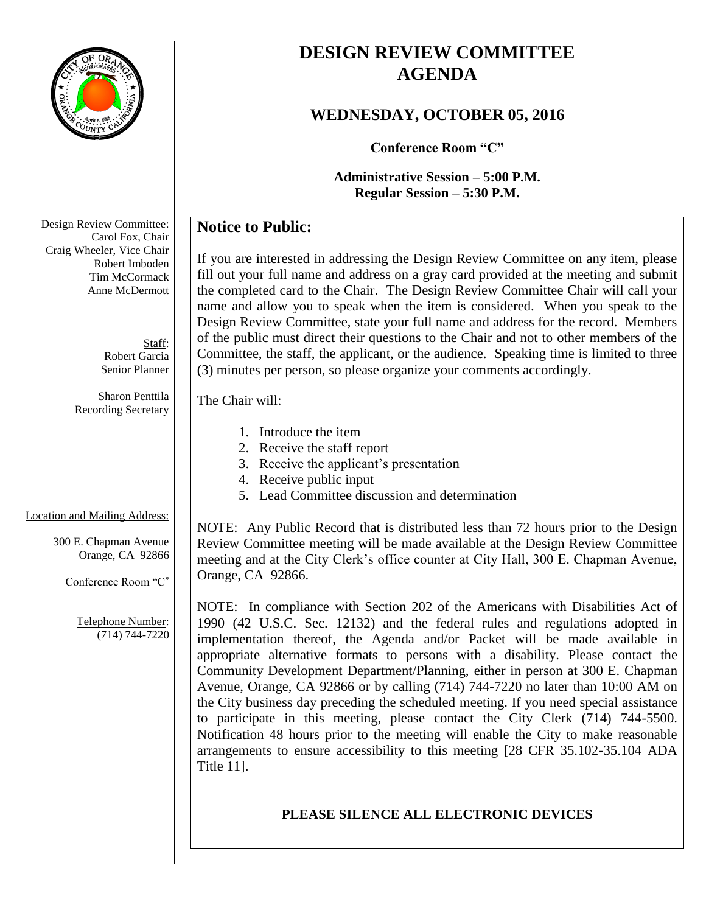

# **DESIGN REVIEW COMMITTEE AGENDA**

## **WEDNESDAY, OCTOBER 05, 2016**

**Conference Room "C"**

**Administrative Session – 5:00 P.M. Regular Session – 5:30 P.M.**

## **Notice to Public:**

If you are interested in addressing the Design Review Committee on any item, please fill out your full name and address on a gray card provided at the meeting and submit the completed card to the Chair. The Design Review Committee Chair will call your name and allow you to speak when the item is considered. When you speak to the Design Review Committee, state your full name and address for the record. Members of the public must direct their questions to the Chair and not to other members of the Committee, the staff, the applicant, or the audience. Speaking time is limited to three (3) minutes per person, so please organize your comments accordingly.

### The Chair will:

- 1. Introduce the item
- 2. Receive the staff report
- 3. Receive the applicant's presentation
- 4. Receive public input
- 5. Lead Committee discussion and determination

## Location and Mailing Address:

300 E. Chapman Avenue Orange, CA 92866

Conference Room "C"

Telephone Number: (714) 744-7220

NOTE: Any Public Record that is distributed less than 72 hours prior to the Design Review Committee meeting will be made available at the Design Review Committee meeting and at the City Clerk's office counter at City Hall, 300 E. Chapman Avenue, Orange, CA 92866.

NOTE: In compliance with Section 202 of the Americans with Disabilities Act of 1990 (42 U.S.C. Sec. 12132) and the federal rules and regulations adopted in implementation thereof, the Agenda and/or Packet will be made available in appropriate alternative formats to persons with a disability. Please contact the Community Development Department/Planning, either in person at 300 E. Chapman Avenue, Orange, CA 92866 or by calling (714) 744-7220 no later than 10:00 AM on the City business day preceding the scheduled meeting. If you need special assistance to participate in this meeting, please contact the City Clerk (714) 744-5500. Notification 48 hours prior to the meeting will enable the City to make reasonable arrangements to ensure accessibility to this meeting [28 CFR 35.102-35.104 ADA Title 11].

## **PLEASE SILENCE ALL ELECTRONIC DEVICES**

Design Review Committee: Carol Fox, Chair Craig Wheeler, Vice Chair Robert Imboden Tim McCormack Anne McDermott

> Staff: Robert Garcia Senior Planner

Sharon Penttila Recording Secretary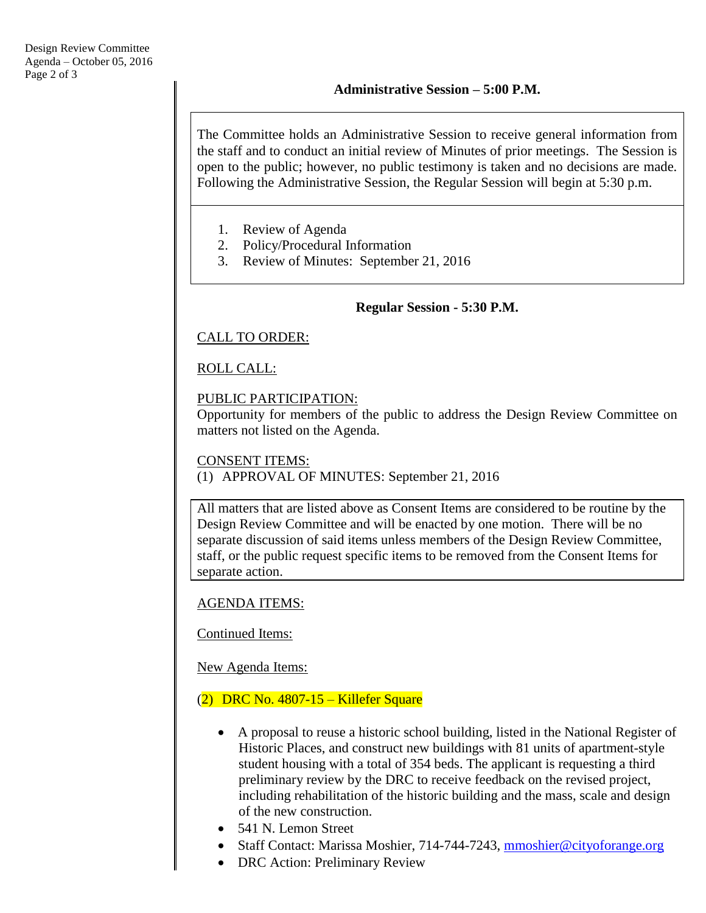The Committee holds an Administrative Session to receive general information from the staff and to conduct an initial review of Minutes of prior meetings. The Session is open to the public; however, no public testimony is taken and no decisions are made. Following the Administrative Session, the Regular Session will begin at 5:30 p.m.

- 1. Review of Agenda
- 2. Policy/Procedural Information
- 3. Review of Minutes: September 21, 2016

### **Regular Session - 5:30 P.M.**

## CALL TO ORDER:

## ROLL CALL:

### PUBLIC PARTICIPATION:

Opportunity for members of the public to address the Design Review Committee on matters not listed on the Agenda.

#### CONSENT ITEMS:

(1) APPROVAL OF MINUTES: September 21, 2016

All matters that are listed above as Consent Items are considered to be routine by the Design Review Committee and will be enacted by one motion. There will be no separate discussion of said items unless members of the Design Review Committee, staff, or the public request specific items to be removed from the Consent Items for separate action.

## AGENDA ITEMS:

Continued Items:

New Agenda Items:

## (2) DRC No. 4807-15 – Killefer Square

- A proposal to reuse a historic school building, listed in the National Register of Historic Places, and construct new buildings with 81 units of apartment-style student housing with a total of 354 beds. The applicant is requesting a third preliminary review by the DRC to receive feedback on the revised project, including rehabilitation of the historic building and the mass, scale and design of the new construction.
- 541 N. Lemon Street
- Staff Contact: Marissa Moshier, 714-744-7243, [mmoshier@cityoforange.org](mailto:mmoshier@cityoforange.org)
- DRC Action: Preliminary Review